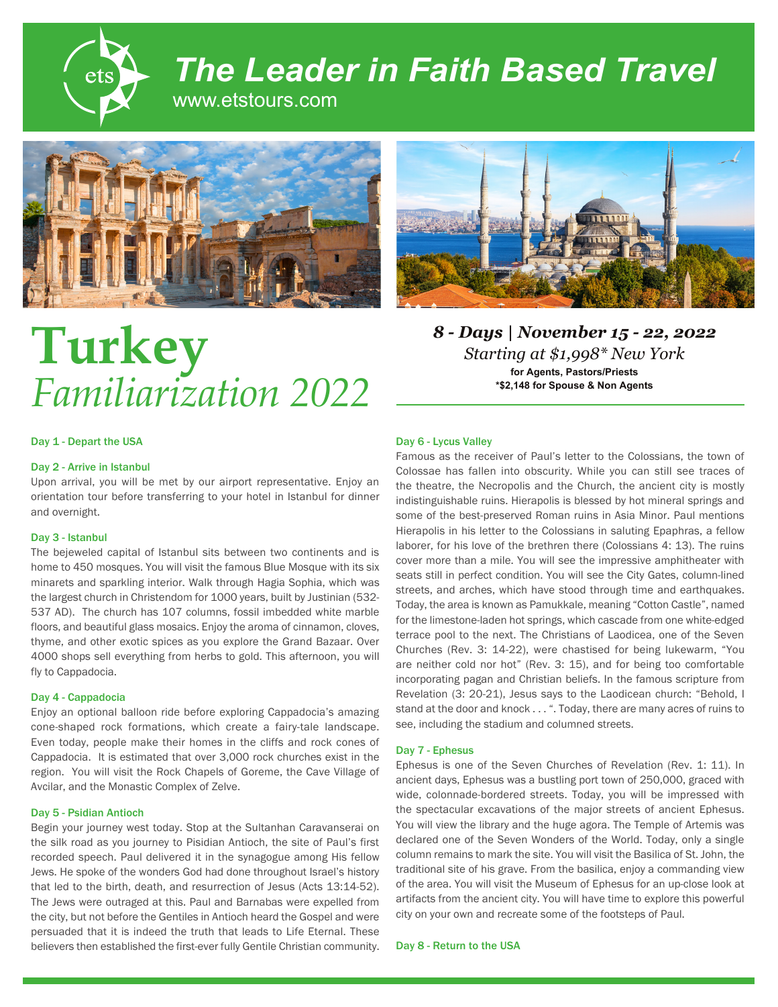

# *The Leader in Faith Based Travel*

www.etstours.com





# Day 1 - Depart the USA

# Day 2 - Arrive in Istanbul

Upon arrival, you will be met by our airport representative. Enjoy an orientation tour before transferring to your hotel in Istanbul for dinner and overnight.

# Day 3 - Istanbul

The bejeweled capital of Istanbul sits between two continents and is home to 450 mosques. You will visit the famous Blue Mosque with its six minarets and sparkling interior. Walk through Hagia Sophia, which was the largest church in Christendom for 1000 years, built by Justinian (532- 537 AD). The church has 107 columns, fossil imbedded white marble floors, and beautiful glass mosaics. Enjoy the aroma of cinnamon, cloves, thyme, and other exotic spices as you explore the Grand Bazaar. Over 4000 shops sell everything from herbs to gold. This afternoon, you will fly to Cappadocia.

## Day 4 - Cappadocia

Enjoy an optional balloon ride before exploring Cappadocia's amazing cone-shaped rock formations, which create a fairy-tale landscape. Even today, people make their homes in the cliffs and rock cones of Cappadocia. It is estimated that over 3,000 rock churches exist in the region. You will visit the Rock Chapels of Goreme, the Cave Village of Avcilar, and the Monastic Complex of Zelve.

# Day 5 - Psidian Antioch

Begin your journey west today. Stop at the Sultanhan Caravanserai on the silk road as you journey to Pisidian Antioch, the site of Paul's first recorded speech. Paul delivered it in the synagogue among His fellow Jews. He spoke of the wonders God had done throughout Israel's history that led to the birth, death, and resurrection of Jesus (Acts 13:14-52). The Jews were outraged at this. Paul and Barnabas were expelled from the city, but not before the Gentiles in Antioch heard the Gospel and were persuaded that it is indeed the truth that leads to Life Eternal. These believers then established the first-ever fully Gentile Christian community.



*8 - Days | November 15 - 22, 2022 Starting at \$1,998\* New York* **for Agents, Pastors/Priests \*\$2,148 for Spouse & Non Agents**

# Day 6 - Lycus Valley

Famous as the receiver of Paul's letter to the Colossians, the town of Colossae has fallen into obscurity. While you can still see traces of the theatre, the Necropolis and the Church, the ancient city is mostly indistinguishable ruins. Hierapolis is blessed by hot mineral springs and some of the best-preserved Roman ruins in Asia Minor. Paul mentions Hierapolis in his letter to the Colossians in saluting Epaphras, a fellow laborer, for his love of the brethren there (Colossians 4: 13). The ruins cover more than a mile. You will see the impressive amphitheater with seats still in perfect condition. You will see the City Gates, column-lined streets, and arches, which have stood through time and earthquakes. Today, the area is known as Pamukkale, meaning "Cotton Castle", named for the limestone-laden hot springs, which cascade from one white-edged terrace pool to the next. The Christians of Laodicea, one of the Seven Churches (Rev. 3: 14-22), were chastised for being lukewarm, "You are neither cold nor hot" (Rev. 3: 15), and for being too comfortable incorporating pagan and Christian beliefs. In the famous scripture from Revelation (3: 20-21), Jesus says to the Laodicean church: "Behold, I stand at the door and knock . . . ". Today, there are many acres of ruins to see, including the stadium and columned streets.

# Day 7 - Ephesus

Ephesus is one of the Seven Churches of Revelation (Rev. 1: 11). In ancient days, Ephesus was a bustling port town of 250,000, graced with wide, colonnade-bordered streets. Today, you will be impressed with the spectacular excavations of the major streets of ancient Ephesus. You will view the library and the huge agora. The Temple of Artemis was declared one of the Seven Wonders of the World. Today, only a single column remains to mark the site. You will visit the Basilica of St. John, the traditional site of his grave. From the basilica, enjoy a commanding view of the area. You will visit the Museum of Ephesus for an up-close look at artifacts from the ancient city. You will have time to explore this powerful city on your own and recreate some of the footsteps of Paul.

Day 8 - Return to the USA